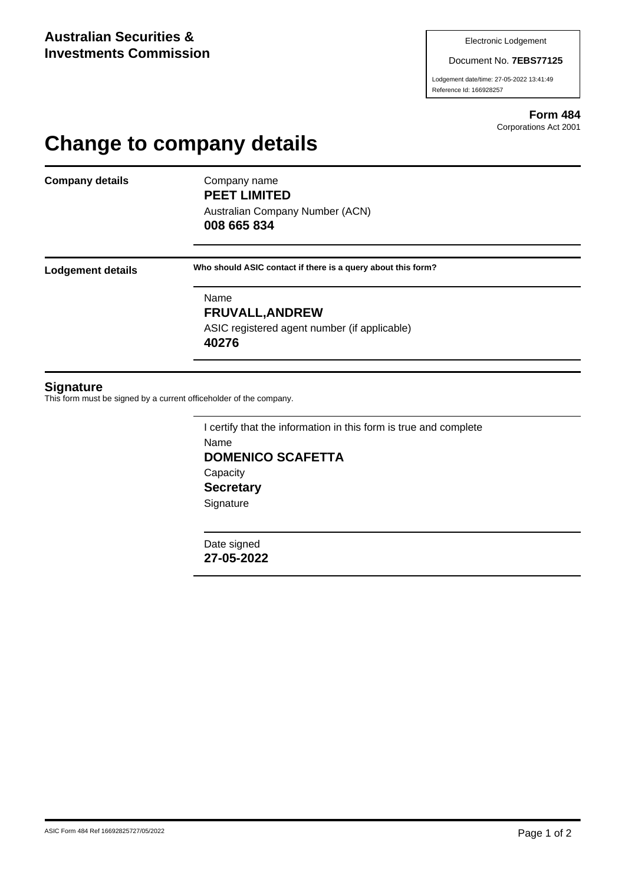#### Document No. **7EBS77125**

Lodgement date/time: 27-05-2022 13:41:49 Reference Id: 166928257

> **Form 484** Corporations Act 2001

# **Change to company details**

**Company details** Company name

**PEET LIMITED**

Australian Company Number (ACN) **008 665 834**

**Lodgement details Who should ASIC contact if there is a query about this form?**

Name **FRUVALL,ANDREW** ASIC registered agent number (if applicable) **40276**

### **Signature**

This form must be signed by a current officeholder of the company.

I certify that the information in this form is true and complete Name **DOMENICO SCAFETTA Capacity Secretary Signature** 

Date signed **27-05-2022**